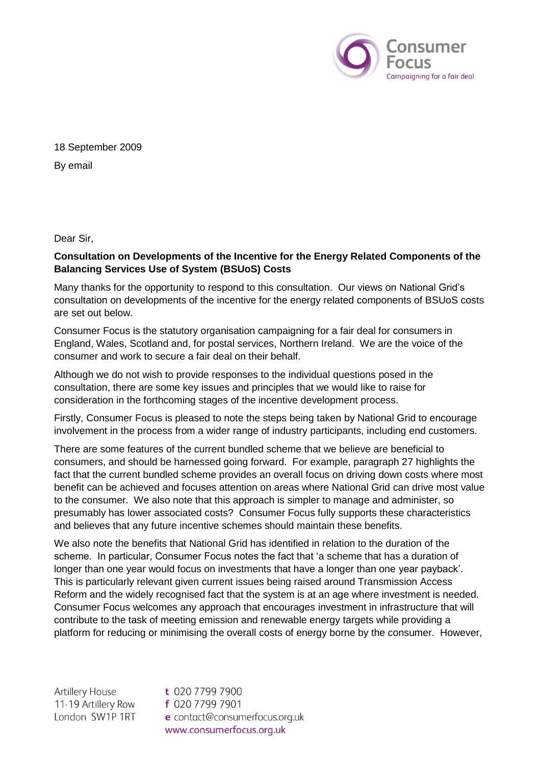

18 September 2009 By email

Dear Sir,

## **Consultation on Developments of the Incentive for the Energy Related Components of the Balancing Services Use of System (BSUoS) Costs**

Many thanks for the opportunity to respond to this consultation. Our views on National Grid's consultation on developments of the incentive for the energy related components of BSUoS costs are set out below.

Consumer Focus is the statutory organisation campaigning for a fair deal for consumers in England, Wales, Scotland and, for postal services, Northern Ireland. We are the voice of the consumer and work to secure a fair deal on their behalf.

Although we do not wish to provide responses to the individual questions posed in the consultation, there are some key issues and principles that we would like to raise for consideration in the forthcoming stages of the incentive development process.

Firstly, Consumer Focus is pleased to note the steps being taken by National Grid to encourage involvement in the process from a wider range of industry participants, including end customers.

There are some features of the current bundled scheme that we believe are beneficial to consumers, and should be harnessed going forward. For example, paragraph 27 highlights the fact that the current bundled scheme provides an overall focus on driving down costs where most benefit can be achieved and focuses attention on areas where National Grid can drive most value to the consumer. We also note that this approach is simpler to manage and administer, so presumably has lower associated costs? Consumer Focus fully supports these characteristics and believes that any future incentive schemes should maintain these benefits.

We also note the benefits that National Grid has identified in relation to the duration of the scheme. In particular, Consumer Focus notes the fact that 'a scheme that has a duration of longer than one year would focus on investments that have a longer than one year payback'. This is particularly relevant given current issues being raised around Transmission Access Reform and the widely recognised fact that the system is at an age where investment is needed. Consumer Focus welcomes any approach that encourages investment in infrastructure that will contribute to the task of meeting emission and renewable energy targets while providing a platform for reducing or minimising the overall costs of energy borne by the consumer. However,

**Artillery House** 11-19 Artillery Row London SW1P 1RT

t 020 7799 7900 f 020 7799 7901 e contact@consumerfocus.org.uk www.consumerfocus.org.uk